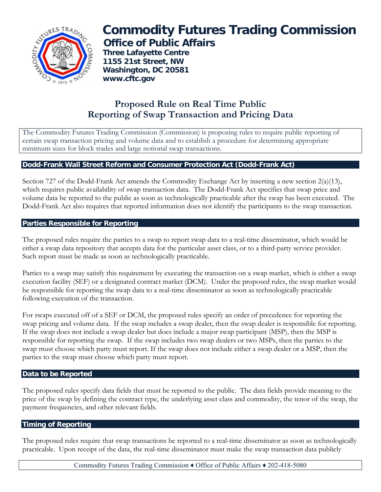

# **Commodity Futures Trading Commission Office of Public Affairs**

 **Three Lafayette Centre 1155 21st Street, NW Washington, DC 20581 www.cftc.gov**

# **Proposed Rule on Real Time Public Reporting of Swap Transaction and Pricing Data**

The Commodity Futures Trading Commission (Commission) is proposing rules to require public reporting of certain swap transaction pricing and volume data and to establish a procedure for determining appropriate minimum sizes for block trades and large notional swap transactions.

### **Dodd-Frank Wall Street Reform and Consumer Protection Act (Dodd-Frank Act)**

Section 727 of the Dodd-Frank Act amends the Commodity Exchange Act by inserting a new section 2(a)(13), which requires public availability of swap transaction data. The Dodd-Frank Act specifies that swap price and volume data be reported to the public as soon as technologically practicable after the swap has been executed. The Dodd-Frank Act also requires that reported information does not identify the participants to the swap transaction.

## **Parties Responsible for Reporting**

The proposed rules require the parties to a swap to report swap data to a real-time disseminator, which would be either a swap data repository that accepts data for the particular asset class, or to a third-party service provider. Such report must be made as soon as technologically practicable.

Parties to a swap may satisfy this requirement by executing the transaction on a swap market, which is either a swap execution facility (SEF) or a designated contract market (DCM). Under the proposed rules, the swap market would be responsible for reporting the swap data to a real-time disseminator as soon as technologically practicable following execution of the transaction.

For swaps executed off of a SEF or DCM, the proposed rules specify an order of precedence for reporting the swap pricing and volume data. If the swap includes a swap dealer, then the swap dealer is responsible for reporting. If the swap does not include a swap dealer but does include a major swap participant (MSP), then the MSP is responsible for reporting the swap. If the swap includes two swap dealers or two MSPs, then the parties to the swap must choose which party must report. If the swap does not include either a swap dealer or a MSP, then the parties to the swap must choose which party must report.

### **Data to be Reported**

The proposed rules specify data fields that must be reported to the public. The data fields provide meaning to the price of the swap by defining the contract type, the underlying asset class and commodity, the tenor of the swap, the payment frequencies, and other relevant fields.

### **Timing of Reporting**

The proposed rules require that swap transactions be reported to a real-time disseminator as soon as technologically practicable. Upon receipt of the data, the real-time disseminator must make the swap transaction data publicly

Commodity Futures Trading Commission ♦ Office of Public Affairs ♦ 202-418-5080